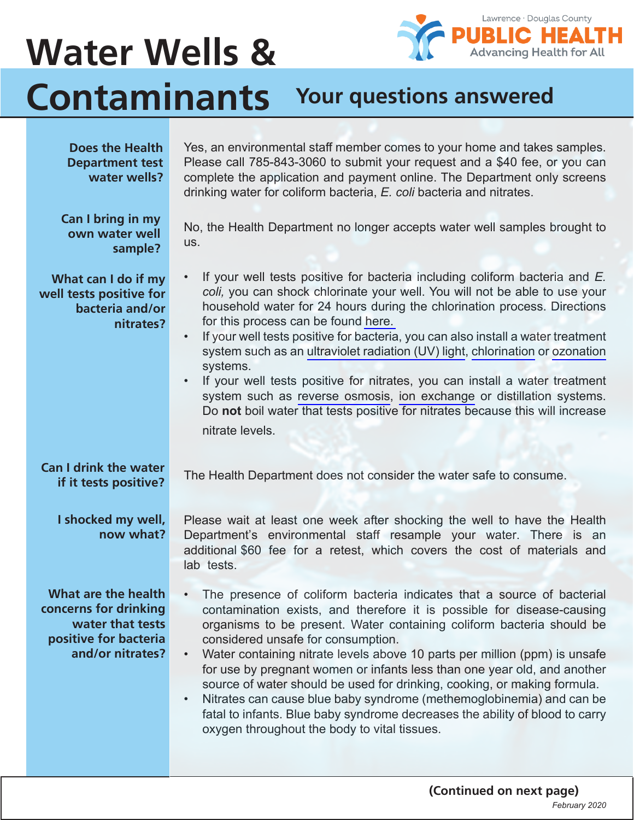## 5 **PUBLIC HEALTH**<br>Advancing Health for All **Water Wells & Contaminants Your questions answered**

| <b>Does the Health</b><br><b>Department test</b><br>water wells?                                              | Yes, an environmental staff member comes to your home and takes samples.<br>Please call 785-843-3060 to submit your request and a \$40 fee, or you can<br>complete the application and payment online. The Department only screens<br>drinking water for coliform bacteria, E. coli bacteria and nitrates.                                                                                                                                                                                                                                                                                                                                                                                                                                           |
|---------------------------------------------------------------------------------------------------------------|------------------------------------------------------------------------------------------------------------------------------------------------------------------------------------------------------------------------------------------------------------------------------------------------------------------------------------------------------------------------------------------------------------------------------------------------------------------------------------------------------------------------------------------------------------------------------------------------------------------------------------------------------------------------------------------------------------------------------------------------------|
| Can I bring in my<br>own water well<br>sample?                                                                | No, the Health Department no longer accepts water well samples brought to<br>US.                                                                                                                                                                                                                                                                                                                                                                                                                                                                                                                                                                                                                                                                     |
| What can I do if my<br>well tests positive for<br>bacteria and/or<br>nitrates?                                | If your well tests positive for bacteria including coliform bacteria and E.<br>$\bullet$<br>coli, you can shock chlorinate your well. You will not be able to use your<br>household water for 24 hours during the chlorination process. Directions<br>for this process can be found here.<br>If your well tests positive for bacteria, you can also install a water treatment<br>system such as an ultraviolet radiation (UV) light, chlorination or ozonation<br>systems.<br>If your well tests positive for nitrates, you can install a water treatment<br>system such as reverse osmosis, ion exchange or distillation systems.<br>Do not boil water that tests positive for nitrates because this will increase<br>nitrate levels.               |
| <b>Can I drink the water</b>                                                                                  | The Health Department does not consider the water safe to consume.                                                                                                                                                                                                                                                                                                                                                                                                                                                                                                                                                                                                                                                                                   |
| if it tests positive?                                                                                         |                                                                                                                                                                                                                                                                                                                                                                                                                                                                                                                                                                                                                                                                                                                                                      |
| I shocked my well,<br>now what?                                                                               | Please wait at least one week after shocking the well to have the Health<br>Department's environmental staff resample your water. There is an<br>additional \$60 fee for a retest, which covers the cost of materials and<br>lab tests.                                                                                                                                                                                                                                                                                                                                                                                                                                                                                                              |
| What are the health<br>concerns for drinking<br>water that tests<br>positive for bacteria<br>and/or nitrates? | The presence of coliform bacteria indicates that a source of bacterial<br>$\bullet$<br>contamination exists, and therefore it is possible for disease-causing<br>organisms to be present. Water containing coliform bacteria should be<br>considered unsafe for consumption.<br>Water containing nitrate levels above 10 parts per million (ppm) is unsafe<br>$\bullet$<br>for use by pregnant women or infants less than one year old, and another<br>source of water should be used for drinking, cooking, or making formula.<br>Nitrates can cause blue baby syndrome (methemoglobinemia) and can be<br>$\bullet$<br>fatal to infants. Blue baby syndrome decreases the ability of blood to carry<br>oxygen throughout the body to vital tissues. |

Lawrence · Douglas County